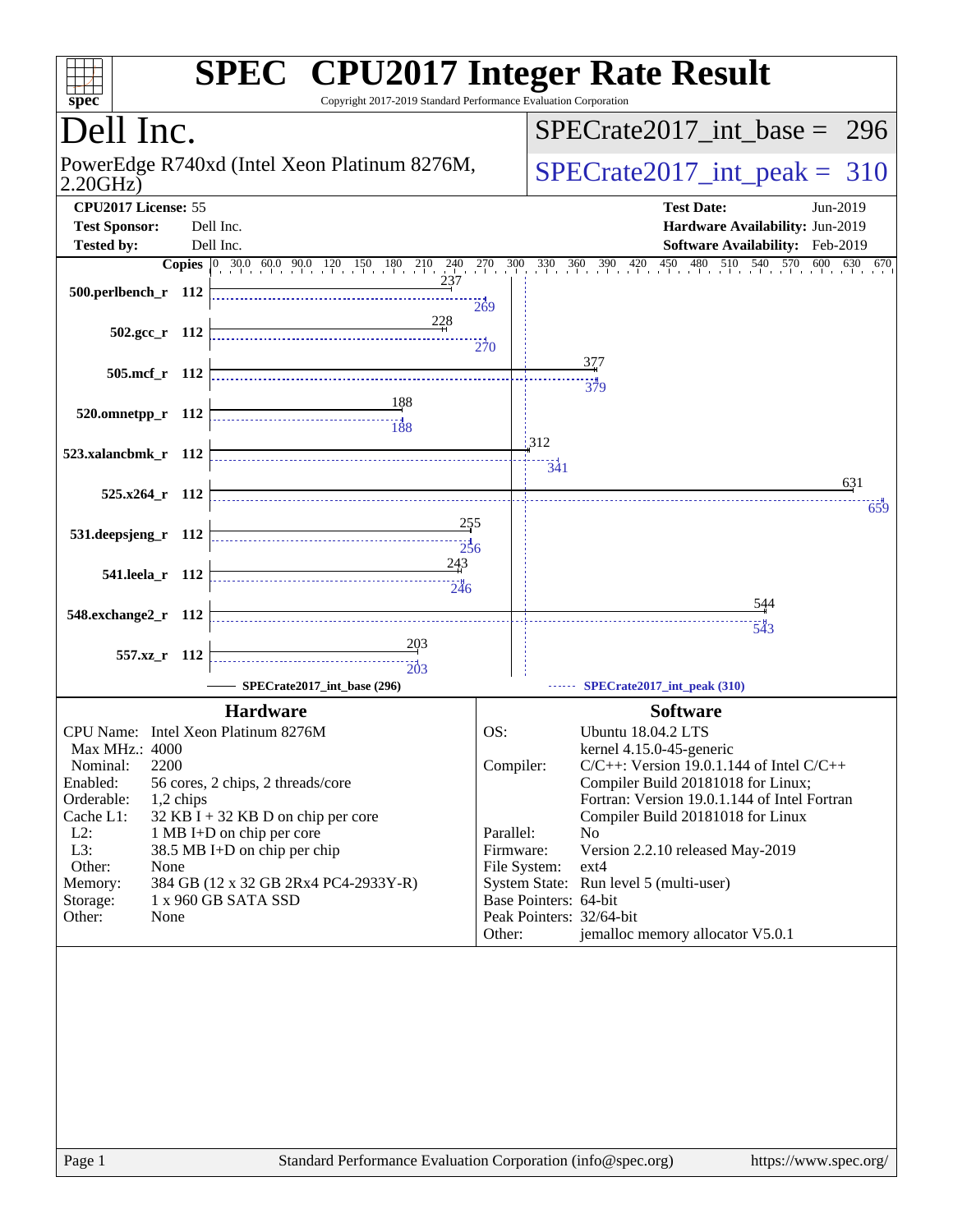| $spec^*$                                                                                                                                              |           | <b>SPEC<sup>®</sup></b> CPU2017 Integer Rate Result<br>Copyright 2017-2019 Standard Performance Evaluation Corporation                                                                                                                                        |                            |                                                                 |                                                                                                                                                                                                                                                                                                                                                                                                                       |  |  |  |  |
|-------------------------------------------------------------------------------------------------------------------------------------------------------|-----------|---------------------------------------------------------------------------------------------------------------------------------------------------------------------------------------------------------------------------------------------------------------|----------------------------|-----------------------------------------------------------------|-----------------------------------------------------------------------------------------------------------------------------------------------------------------------------------------------------------------------------------------------------------------------------------------------------------------------------------------------------------------------------------------------------------------------|--|--|--|--|
| Dell Inc.                                                                                                                                             |           |                                                                                                                                                                                                                                                               |                            |                                                                 | $SPECrate2017\_int\_base = 296$                                                                                                                                                                                                                                                                                                                                                                                       |  |  |  |  |
| PowerEdge R740xd (Intel Xeon Platinum 8276M,<br>2.20GHz                                                                                               |           |                                                                                                                                                                                                                                                               |                            |                                                                 | $SPECTate2017$ _int_peak = 310                                                                                                                                                                                                                                                                                                                                                                                        |  |  |  |  |
| CPU2017 License: 55<br><b>Test Sponsor:</b>                                                                                                           |           | Dell Inc.                                                                                                                                                                                                                                                     |                            |                                                                 | <b>Test Date:</b><br>Jun-2019<br>Hardware Availability: Jun-2019                                                                                                                                                                                                                                                                                                                                                      |  |  |  |  |
| <b>Tested by:</b>                                                                                                                                     |           | Dell Inc.                                                                                                                                                                                                                                                     |                            |                                                                 | <b>Software Availability:</b> Feb-2019                                                                                                                                                                                                                                                                                                                                                                                |  |  |  |  |
| 500.perlbench_r 112                                                                                                                                   |           | <b>Copies</b> 0 30.0 60.0 90.0 120 150 180 210 240 270 300 330 360 390 420<br>237                                                                                                                                                                             | 269                        |                                                                 | $\frac{450}{1}$<br>480 510 540 570<br>$600 \t 630 \t 670$                                                                                                                                                                                                                                                                                                                                                             |  |  |  |  |
| $502.\text{gcc r}$ 112                                                                                                                                |           | 228                                                                                                                                                                                                                                                           | 270                        |                                                                 |                                                                                                                                                                                                                                                                                                                                                                                                                       |  |  |  |  |
| 505.mcf_r 112                                                                                                                                         |           |                                                                                                                                                                                                                                                               |                            |                                                                 | 377<br>379                                                                                                                                                                                                                                                                                                                                                                                                            |  |  |  |  |
| 520.omnetpp_r 112                                                                                                                                     |           |                                                                                                                                                                                                                                                               |                            |                                                                 |                                                                                                                                                                                                                                                                                                                                                                                                                       |  |  |  |  |
| 523.xalancbmk r 112                                                                                                                                   |           |                                                                                                                                                                                                                                                               |                            | 312<br>341                                                      | 631                                                                                                                                                                                                                                                                                                                                                                                                                   |  |  |  |  |
| $525.x264$ r 112                                                                                                                                      |           |                                                                                                                                                                                                                                                               |                            |                                                                 | 659                                                                                                                                                                                                                                                                                                                                                                                                                   |  |  |  |  |
| 531.deepsjeng_r 112                                                                                                                                   |           | <u>255</u><br>256                                                                                                                                                                                                                                             |                            |                                                                 |                                                                                                                                                                                                                                                                                                                                                                                                                       |  |  |  |  |
| 541.leela_r 112                                                                                                                                       |           | 243<br>246                                                                                                                                                                                                                                                    |                            |                                                                 |                                                                                                                                                                                                                                                                                                                                                                                                                       |  |  |  |  |
| 548.exchange2_r 112                                                                                                                                   |           |                                                                                                                                                                                                                                                               |                            |                                                                 | 544                                                                                                                                                                                                                                                                                                                                                                                                                   |  |  |  |  |
| 557.xz_r 112                                                                                                                                          |           | $\frac{203}{2}$<br>203                                                                                                                                                                                                                                        |                            |                                                                 | 543                                                                                                                                                                                                                                                                                                                                                                                                                   |  |  |  |  |
|                                                                                                                                                       |           | SPECrate2017_int_base (296)                                                                                                                                                                                                                                   |                            |                                                                 | SPECrate2017_int_peak (310)                                                                                                                                                                                                                                                                                                                                                                                           |  |  |  |  |
| Max MHz.: 4000<br>2200<br>Nominal:<br>Enabled:<br>Orderable:<br>Cache L1:<br>$L2$ :<br>L3:<br>Other:<br>None<br>Memory:<br>Storage:<br>Other:<br>None | 1,2 chips | <b>Hardware</b><br>CPU Name: Intel Xeon Platinum 8276M<br>56 cores, 2 chips, 2 threads/core<br>32 KB I + 32 KB D on chip per core<br>1 MB I+D on chip per core<br>38.5 MB I+D on chip per chip<br>384 GB (12 x 32 GB 2Rx4 PC4-2933Y-R)<br>1 x 960 GB SATA SSD | OS:<br>Parallel:<br>Other: | Compiler:<br>Firmware:<br>File System:<br>Base Pointers: 64-bit | <b>Software</b><br>Ubuntu 18.04.2 LTS<br>kernel 4.15.0-45-generic<br>$C/C++$ : Version 19.0.1.144 of Intel $C/C++$<br>Compiler Build 20181018 for Linux;<br>Fortran: Version 19.0.1.144 of Intel Fortran<br>Compiler Build 20181018 for Linux<br>N <sub>0</sub><br>Version 2.2.10 released May-2019<br>ext4<br>System State: Run level 5 (multi-user)<br>Peak Pointers: 32/64-bit<br>jemalloc memory allocator V5.0.1 |  |  |  |  |
| Page 1                                                                                                                                                |           | Standard Performance Evaluation Corporation (info@spec.org)                                                                                                                                                                                                   |                            |                                                                 | https://www.spec.org/                                                                                                                                                                                                                                                                                                                                                                                                 |  |  |  |  |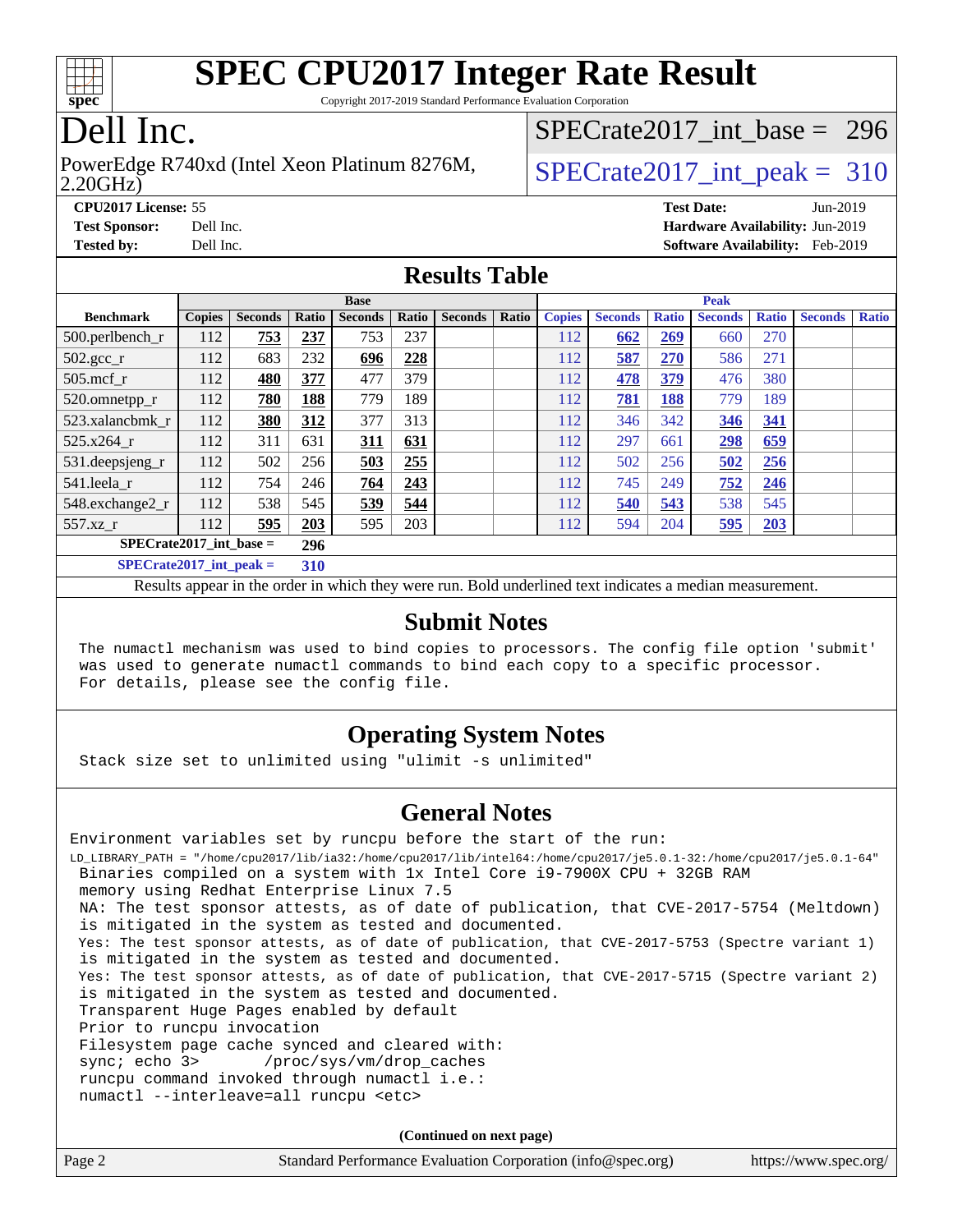

Copyright 2017-2019 Standard Performance Evaluation Corporation

## Dell Inc.

#### 2.20GHz) PowerEdge R740xd (Intel Xeon Platinum 8276M,  $\vert$ [SPECrate2017\\_int\\_peak =](http://www.spec.org/auto/cpu2017/Docs/result-fields.html#SPECrate2017intpeak) 310

[SPECrate2017\\_int\\_base =](http://www.spec.org/auto/cpu2017/Docs/result-fields.html#SPECrate2017intbase) 296

**[CPU2017 License:](http://www.spec.org/auto/cpu2017/Docs/result-fields.html#CPU2017License)** 55 **[Test Date:](http://www.spec.org/auto/cpu2017/Docs/result-fields.html#TestDate)** Jun-2019 **[Test Sponsor:](http://www.spec.org/auto/cpu2017/Docs/result-fields.html#TestSponsor)** Dell Inc. **[Hardware Availability:](http://www.spec.org/auto/cpu2017/Docs/result-fields.html#HardwareAvailability)** Jun-2019 **[Tested by:](http://www.spec.org/auto/cpu2017/Docs/result-fields.html#Testedby)** Dell Inc. **[Software Availability:](http://www.spec.org/auto/cpu2017/Docs/result-fields.html#SoftwareAvailability)** Feb-2019

### **[Results Table](http://www.spec.org/auto/cpu2017/Docs/result-fields.html#ResultsTable)**

|                             | <b>Base</b>   |                |       |                |       | <b>Peak</b>    |       |               |                |              |                |              |                |              |
|-----------------------------|---------------|----------------|-------|----------------|-------|----------------|-------|---------------|----------------|--------------|----------------|--------------|----------------|--------------|
| <b>Benchmark</b>            | <b>Copies</b> | <b>Seconds</b> | Ratio | <b>Seconds</b> | Ratio | <b>Seconds</b> | Ratio | <b>Copies</b> | <b>Seconds</b> | <b>Ratio</b> | <b>Seconds</b> | <b>Ratio</b> | <b>Seconds</b> | <b>Ratio</b> |
| 500.perlbench_r             | 112           | 753            | 237   | 753            | 237   |                |       | 112           | 662            | 269          | 660            | 270          |                |              |
| $502.\text{gcc\_r}$         | 112           | 683            | 232   | 696            | 228   |                |       | 112           | 587            | 270          | 586            | 271          |                |              |
| $505$ .mcf r                | 112           | 480            | 377   | 477            | 379   |                |       | 112           | 478            | 379          | 476            | 380          |                |              |
| 520.omnetpp_r               | 112           | 780            | 188   | 779            | 189   |                |       | 112           | 781            | 188          | 779            | 189          |                |              |
| 523.xalancbmk r             | 112           | 380            | 312   | 377            | 313   |                |       | 112           | 346            | 342          | 346            | 341          |                |              |
| 525.x264 r                  | 112           | 311            | 631   | 311            | 631   |                |       | 112           | 297            | 661          | <u>298</u>     | 659          |                |              |
| 531.deepsjeng_r             | 112           | 502            | 256   | 503            | 255   |                |       | 112           | 502            | 256          | 502            | 256          |                |              |
| 541.leela r                 | 112           | 754            | 246   | 764            | 243   |                |       | 112           | 745            | 249          | 752            | 246          |                |              |
| 548.exchange2_r             | 112           | 538            | 545   | 539            | 544   |                |       | 112           | 540            | 543          | 538            | 545          |                |              |
| 557.xz                      | 112           | 595            | 203   | 595            | 203   |                |       | 112           | 594            | 204          | 595            | 203          |                |              |
| $SPECrate2017$ int base =   |               |                | 296   |                |       |                |       |               |                |              |                |              |                |              |
| $SPECrate2017\_int\_peak =$ |               |                | 310   |                |       |                |       |               |                |              |                |              |                |              |

Results appear in the [order in which they were run](http://www.spec.org/auto/cpu2017/Docs/result-fields.html#RunOrder). Bold underlined text [indicates a median measurement](http://www.spec.org/auto/cpu2017/Docs/result-fields.html#Median).

#### **[Submit Notes](http://www.spec.org/auto/cpu2017/Docs/result-fields.html#SubmitNotes)**

 The numactl mechanism was used to bind copies to processors. The config file option 'submit' was used to generate numactl commands to bind each copy to a specific processor. For details, please see the config file.

### **[Operating System Notes](http://www.spec.org/auto/cpu2017/Docs/result-fields.html#OperatingSystemNotes)**

Stack size set to unlimited using "ulimit -s unlimited"

### **[General Notes](http://www.spec.org/auto/cpu2017/Docs/result-fields.html#GeneralNotes)**

Environment variables set by runcpu before the start of the run: LD\_LIBRARY\_PATH = "/home/cpu2017/lib/ia32:/home/cpu2017/lib/intel64:/home/cpu2017/je5.0.1-32:/home/cpu2017/je5.0.1-64" Binaries compiled on a system with 1x Intel Core i9-7900X CPU + 32GB RAM memory using Redhat Enterprise Linux 7.5 NA: The test sponsor attests, as of date of publication, that CVE-2017-5754 (Meltdown) is mitigated in the system as tested and documented. Yes: The test sponsor attests, as of date of publication, that CVE-2017-5753 (Spectre variant 1) is mitigated in the system as tested and documented. Yes: The test sponsor attests, as of date of publication, that CVE-2017-5715 (Spectre variant 2) is mitigated in the system as tested and documented. Transparent Huge Pages enabled by default Prior to runcpu invocation Filesystem page cache synced and cleared with: sync; echo 3> /proc/sys/vm/drop\_caches runcpu command invoked through numactl i.e.: numactl --interleave=all runcpu <etc>

**(Continued on next page)**

| Page 2 | Standard Performance Evaluation Corporation (info@spec.org) | https://www.spec.org/ |
|--------|-------------------------------------------------------------|-----------------------|
|--------|-------------------------------------------------------------|-----------------------|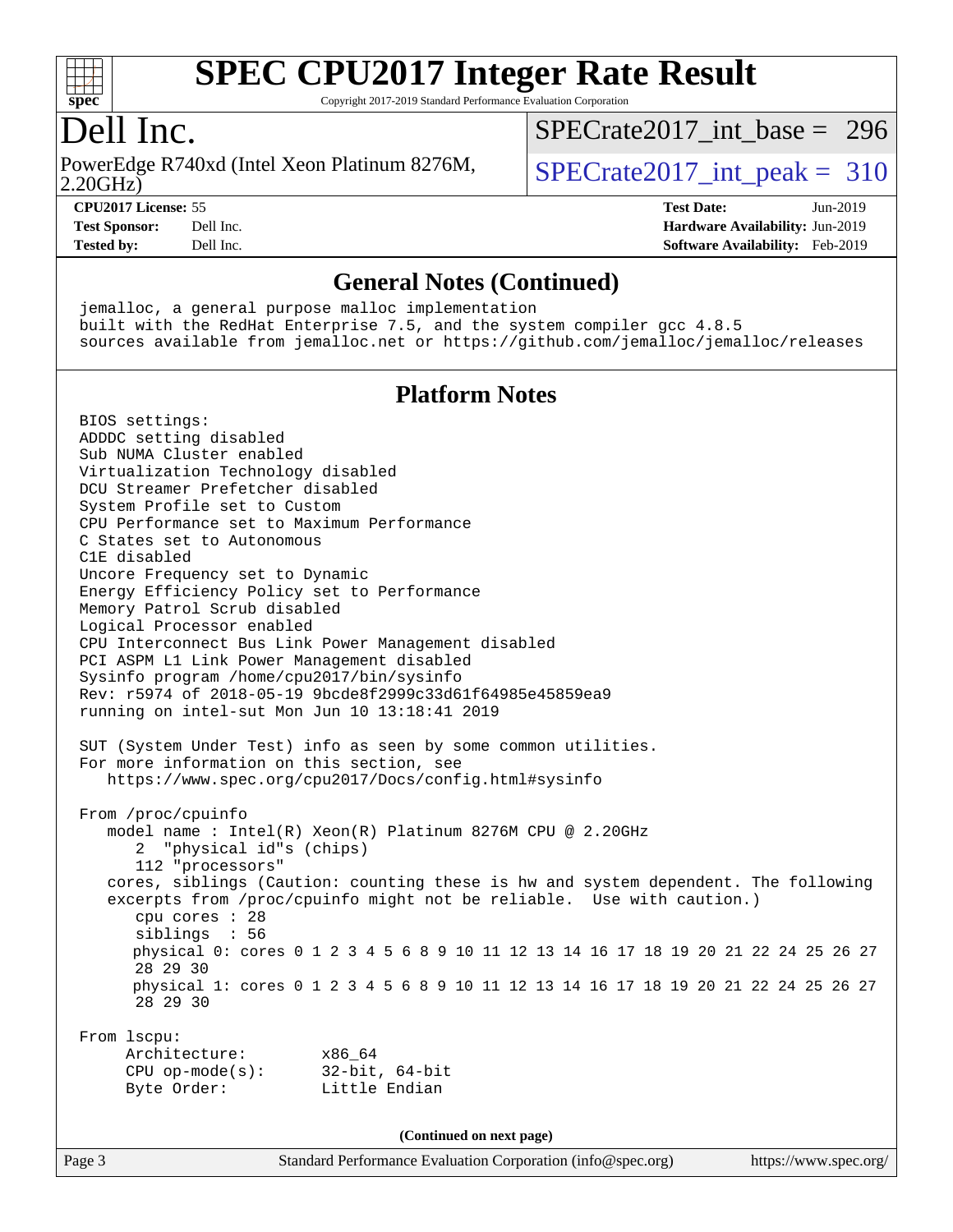

Copyright 2017-2019 Standard Performance Evaluation Corporation

### Dell Inc.

PowerEdge R740xd (Intel Xeon Platinum 8276M,  $SPECrate2017\_int\_peak = 310$ 

[SPECrate2017\\_int\\_base =](http://www.spec.org/auto/cpu2017/Docs/result-fields.html#SPECrate2017intbase) 296

2.20GHz)

**[Tested by:](http://www.spec.org/auto/cpu2017/Docs/result-fields.html#Testedby)** Dell Inc. **[Software Availability:](http://www.spec.org/auto/cpu2017/Docs/result-fields.html#SoftwareAvailability)** Feb-2019

**[CPU2017 License:](http://www.spec.org/auto/cpu2017/Docs/result-fields.html#CPU2017License)** 55 **[Test Date:](http://www.spec.org/auto/cpu2017/Docs/result-fields.html#TestDate)** Jun-2019 **[Test Sponsor:](http://www.spec.org/auto/cpu2017/Docs/result-fields.html#TestSponsor)** Dell Inc. **[Hardware Availability:](http://www.spec.org/auto/cpu2017/Docs/result-fields.html#HardwareAvailability)** Jun-2019

#### **[General Notes \(Continued\)](http://www.spec.org/auto/cpu2017/Docs/result-fields.html#GeneralNotes)**

 jemalloc, a general purpose malloc implementation built with the RedHat Enterprise 7.5, and the system compiler gcc 4.8.5 sources available from jemalloc.net or <https://github.com/jemalloc/jemalloc/releases>

#### **[Platform Notes](http://www.spec.org/auto/cpu2017/Docs/result-fields.html#PlatformNotes)**

 BIOS settings: ADDDC setting disabled Sub NUMA Cluster enabled Virtualization Technology disabled DCU Streamer Prefetcher disabled System Profile set to Custom CPU Performance set to Maximum Performance C States set to Autonomous C1E disabled Uncore Frequency set to Dynamic Energy Efficiency Policy set to Performance Memory Patrol Scrub disabled Logical Processor enabled CPU Interconnect Bus Link Power Management disabled PCI ASPM L1 Link Power Management disabled Sysinfo program /home/cpu2017/bin/sysinfo Rev: r5974 of 2018-05-19 9bcde8f2999c33d61f64985e45859ea9 running on intel-sut Mon Jun 10 13:18:41 2019 SUT (System Under Test) info as seen by some common utilities. For more information on this section, see <https://www.spec.org/cpu2017/Docs/config.html#sysinfo> From /proc/cpuinfo model name : Intel(R) Xeon(R) Platinum 8276M CPU @ 2.20GHz 2 "physical id"s (chips) 112 "processors" cores, siblings (Caution: counting these is hw and system dependent. The following excerpts from /proc/cpuinfo might not be reliable. Use with caution.) cpu cores : 28 siblings : 56 physical 0: cores 0 1 2 3 4 5 6 8 9 10 11 12 13 14 16 17 18 19 20 21 22 24 25 26 27 28 29 30 physical 1: cores 0 1 2 3 4 5 6 8 9 10 11 12 13 14 16 17 18 19 20 21 22 24 25 26 27 28 29 30 From lscpu: Architecture: x86\_64 CPU op-mode(s): 32-bit, 64-bit Byte Order: Little Endian **(Continued on next page)**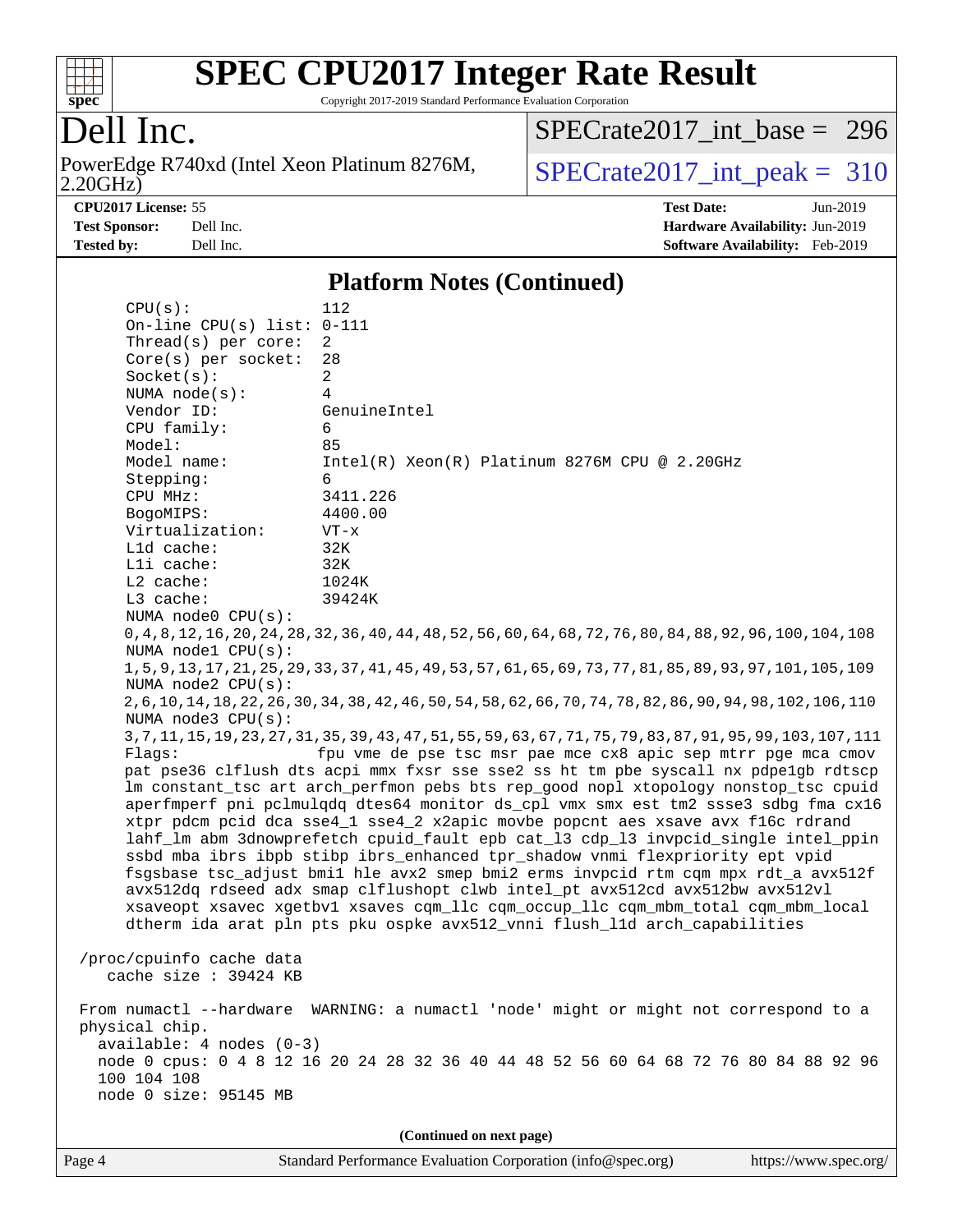

Copyright 2017-2019 Standard Performance Evaluation Corporation

### Dell Inc.

2.20GHz) PowerEdge R740xd (Intel Xeon Platinum 8276M,  $SPECrate2017\_int\_peak = 310$ 

[SPECrate2017\\_int\\_base =](http://www.spec.org/auto/cpu2017/Docs/result-fields.html#SPECrate2017intbase) 296

**[CPU2017 License:](http://www.spec.org/auto/cpu2017/Docs/result-fields.html#CPU2017License)** 55 **[Test Date:](http://www.spec.org/auto/cpu2017/Docs/result-fields.html#TestDate)** Jun-2019 **[Test Sponsor:](http://www.spec.org/auto/cpu2017/Docs/result-fields.html#TestSponsor)** Dell Inc. **[Hardware Availability:](http://www.spec.org/auto/cpu2017/Docs/result-fields.html#HardwareAvailability)** Jun-2019 **[Tested by:](http://www.spec.org/auto/cpu2017/Docs/result-fields.html#Testedby)** Dell Inc. **[Software Availability:](http://www.spec.org/auto/cpu2017/Docs/result-fields.html#SoftwareAvailability)** Feb-2019

#### **[Platform Notes \(Continued\)](http://www.spec.org/auto/cpu2017/Docs/result-fields.html#PlatformNotes)**

| CPU(s):                              | 112                                                                                                             |
|--------------------------------------|-----------------------------------------------------------------------------------------------------------------|
| On-line CPU(s) list: $0-111$         |                                                                                                                 |
| Thread( $s$ ) per core:              | 2                                                                                                               |
| $Core(s)$ per socket:                | 28                                                                                                              |
| Socket(s):                           | $\overline{a}$                                                                                                  |
| NUMA $node(s):$                      | 4                                                                                                               |
| Vendor ID:                           | GenuineIntel                                                                                                    |
| CPU family:                          | 6                                                                                                               |
| Model:                               | 85                                                                                                              |
| Model name:                          | Intel(R) Xeon(R) Platinum 8276M CPU @ 2.20GHz                                                                   |
| Stepping:                            | 6                                                                                                               |
| CPU MHz:                             | 3411.226                                                                                                        |
| BogoMIPS:                            | 4400.00                                                                                                         |
| Virtualization:                      | $VT - x$                                                                                                        |
| Lld cache:                           | 32K                                                                                                             |
| Lli cache:                           | 32K                                                                                                             |
| $L2$ cache:                          | 1024K                                                                                                           |
| L3 cache:                            | 39424K                                                                                                          |
| NUMA node0 CPU(s):                   |                                                                                                                 |
|                                      | 0, 4, 8, 12, 16, 20, 24, 28, 32, 36, 40, 44, 48, 52, 56, 60, 64, 68, 72, 76, 80, 84, 88, 92, 96, 100, 104, 108  |
| NUMA nodel CPU(s):                   |                                                                                                                 |
|                                      | 1, 5, 9, 13, 17, 21, 25, 29, 33, 37, 41, 45, 49, 53, 57, 61, 65, 69, 73, 77, 81, 85, 89, 93, 97, 101, 105, 109  |
| NUMA $node2$ $CPU(s)$ :              |                                                                                                                 |
| NUMA node3 CPU(s):                   | 2,6,10,14,18,22,26,30,34,38,42,46,50,54,58,62,66,70,74,78,82,86,90,94,98,102,106,110                            |
|                                      | 3, 7, 11, 15, 19, 23, 27, 31, 35, 39, 43, 47, 51, 55, 59, 63, 67, 71, 75, 79, 83, 87, 91, 95, 99, 103, 107, 111 |
| Flaqs:                               | fpu vme de pse tsc msr pae mce cx8 apic sep mtrr pge mca cmov                                                   |
|                                      | pat pse36 clflush dts acpi mmx fxsr sse sse2 ss ht tm pbe syscall nx pdpelgb rdtscp                             |
|                                      | lm constant_tsc art arch_perfmon pebs bts rep_good nopl xtopology nonstop_tsc cpuid                             |
|                                      | aperfmperf pni pclmulqdq dtes64 monitor ds_cpl vmx smx est tm2 ssse3 sdbg fma cx16                              |
|                                      | xtpr pdcm pcid dca sse4_1 sse4_2 x2apic movbe popcnt aes xsave avx f16c rdrand                                  |
|                                      | lahf_lm abm 3dnowprefetch cpuid_fault epb cat_13 cdp_13 invpcid_single intel_ppin                               |
|                                      | ssbd mba ibrs ibpb stibp ibrs_enhanced tpr_shadow vnmi flexpriority ept vpid                                    |
|                                      | fsgsbase tsc_adjust bmil hle avx2 smep bmi2 erms invpcid rtm cqm mpx rdt_a avx512f                              |
|                                      | avx512dq rdseed adx smap clflushopt clwb intel_pt avx512cd avx512bw avx512vl                                    |
|                                      | xsaveopt xsavec xgetbvl xsaves cqm_llc cqm_occup_llc cqm_mbm_total cqm_mbm_local                                |
|                                      | dtherm ida arat pln pts pku ospke avx512_vnni flush_lld arch_capabilities                                       |
|                                      |                                                                                                                 |
| /proc/cpuinfo cache data             |                                                                                                                 |
| cache size : 39424 KB                |                                                                                                                 |
|                                      |                                                                                                                 |
|                                      | From numactl --hardware WARNING: a numactl 'node' might or might not correspond to a                            |
| physical chip.                       |                                                                                                                 |
| $available: 4 nodes (0-3)$           |                                                                                                                 |
|                                      | node 0 cpus: 0 4 8 12 16 20 24 28 32 36 40 44 48 52 56 60 64 68 72 76 80 84 88 92 96                            |
| 100 104 108<br>node 0 size: 95145 MB |                                                                                                                 |
|                                      |                                                                                                                 |
|                                      | (Continued on next page)                                                                                        |
|                                      |                                                                                                                 |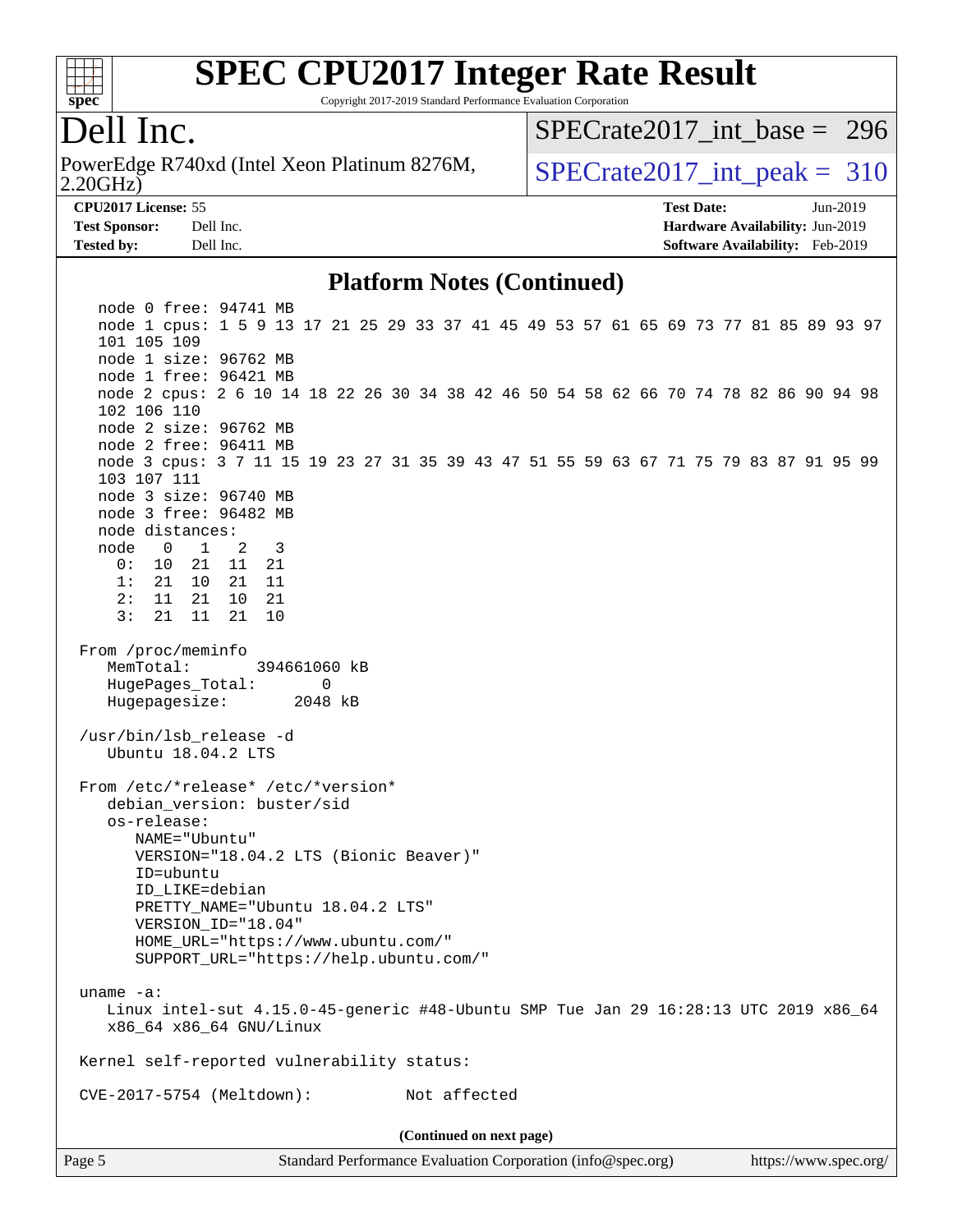

Copyright 2017-2019 Standard Performance Evaluation Corporation

### Dell Inc.

2.20GHz) PowerEdge R740xd (Intel Xeon Platinum 8276M,  $SPECrate2017\_int\_peak = 310$ 

[SPECrate2017\\_int\\_base =](http://www.spec.org/auto/cpu2017/Docs/result-fields.html#SPECrate2017intbase) 296

**[Tested by:](http://www.spec.org/auto/cpu2017/Docs/result-fields.html#Testedby)** Dell Inc. **[Software Availability:](http://www.spec.org/auto/cpu2017/Docs/result-fields.html#SoftwareAvailability)** Feb-2019

**[CPU2017 License:](http://www.spec.org/auto/cpu2017/Docs/result-fields.html#CPU2017License)** 55 **[Test Date:](http://www.spec.org/auto/cpu2017/Docs/result-fields.html#TestDate)** Jun-2019 **[Test Sponsor:](http://www.spec.org/auto/cpu2017/Docs/result-fields.html#TestSponsor)** Dell Inc. **[Hardware Availability:](http://www.spec.org/auto/cpu2017/Docs/result-fields.html#HardwareAvailability)** Jun-2019

#### **[Platform Notes \(Continued\)](http://www.spec.org/auto/cpu2017/Docs/result-fields.html#PlatformNotes)**

Page 5 Standard Performance Evaluation Corporation [\(info@spec.org\)](mailto:info@spec.org) <https://www.spec.org/> node 0 free: 94741 MB node 1 cpus: 1 5 9 13 17 21 25 29 33 37 41 45 49 53 57 61 65 69 73 77 81 85 89 93 97 101 105 109 node 1 size: 96762 MB node 1 free: 96421 MB node 2 cpus: 2 6 10 14 18 22 26 30 34 38 42 46 50 54 58 62 66 70 74 78 82 86 90 94 98 102 106 110 node 2 size: 96762 MB node 2 free: 96411 MB node 3 cpus: 3 7 11 15 19 23 27 31 35 39 43 47 51 55 59 63 67 71 75 79 83 87 91 95 99 103 107 111 node 3 size: 96740 MB node 3 free: 96482 MB node distances: node 0 1 2 3 0: 10 21 11 21 1: 21 10 21 11 2: 11 21 10 21 3: 21 11 21 10 From /proc/meminfo MemTotal: 394661060 kB HugePages\_Total: 0 Hugepagesize: 2048 kB /usr/bin/lsb\_release -d Ubuntu 18.04.2 LTS From /etc/\*release\* /etc/\*version\* debian version: buster/sid os-release: NAME="Ubuntu" VERSION="18.04.2 LTS (Bionic Beaver)" ID=ubuntu ID\_LIKE=debian PRETTY\_NAME="Ubuntu 18.04.2 LTS" VERSION\_ID="18.04" HOME\_URL="<https://www.ubuntu.com/"> SUPPORT\_URL="<https://help.ubuntu.com/"> uname -a: Linux intel-sut 4.15.0-45-generic #48-Ubuntu SMP Tue Jan 29 16:28:13 UTC 2019 x86\_64 x86\_64 x86\_64 GNU/Linux Kernel self-reported vulnerability status: CVE-2017-5754 (Meltdown): Not affected **(Continued on next page)**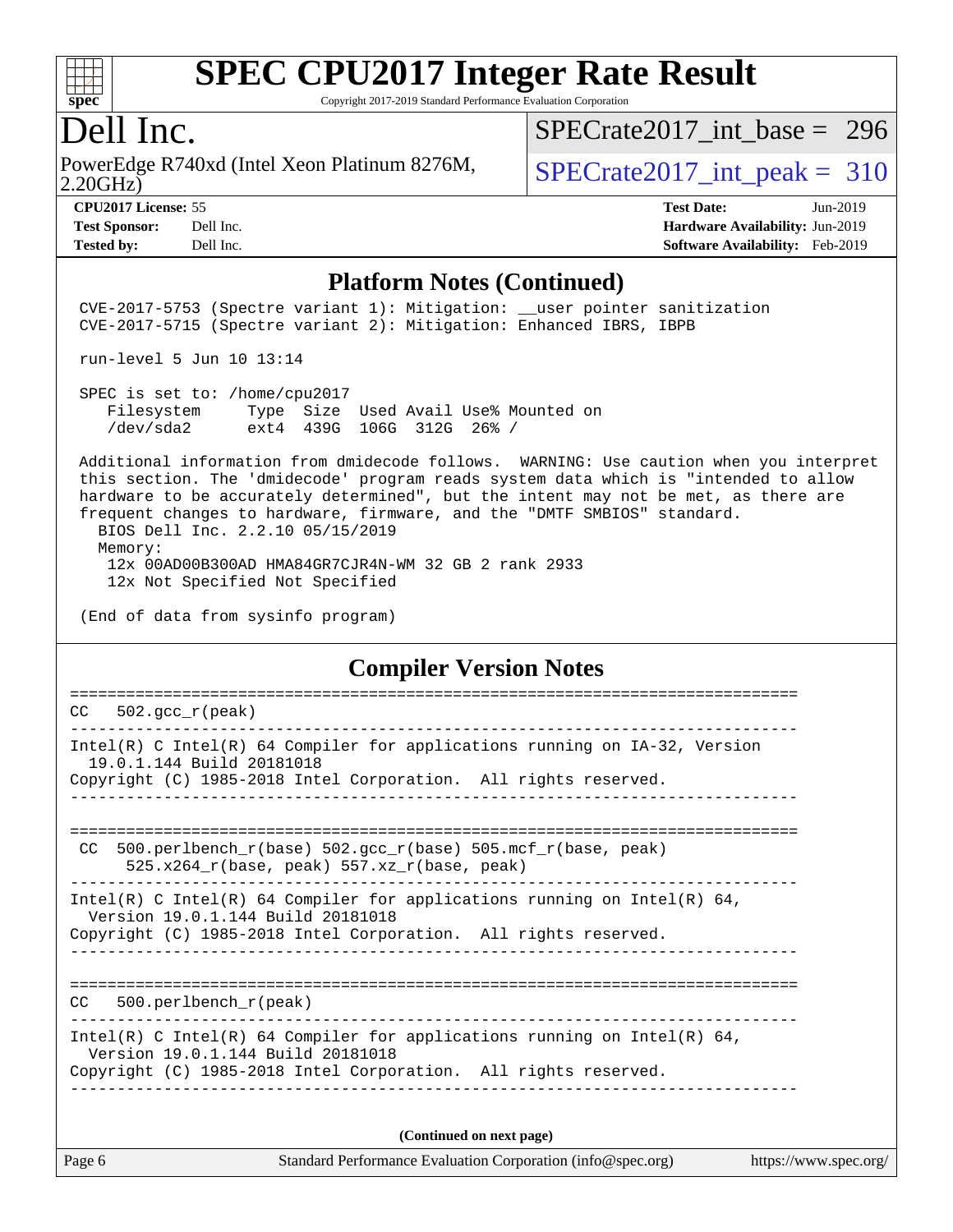

Copyright 2017-2019 Standard Performance Evaluation Corporation

### Dell Inc.

2.20GHz) PowerEdge R740xd (Intel Xeon Platinum 8276M,  $SPECrate2017\_int\_peak = 310$ 

[SPECrate2017\\_int\\_base =](http://www.spec.org/auto/cpu2017/Docs/result-fields.html#SPECrate2017intbase) 296

**[Tested by:](http://www.spec.org/auto/cpu2017/Docs/result-fields.html#Testedby)** Dell Inc. **[Software Availability:](http://www.spec.org/auto/cpu2017/Docs/result-fields.html#SoftwareAvailability)** Feb-2019

**[CPU2017 License:](http://www.spec.org/auto/cpu2017/Docs/result-fields.html#CPU2017License)** 55 **[Test Date:](http://www.spec.org/auto/cpu2017/Docs/result-fields.html#TestDate)** Jun-2019 **[Test Sponsor:](http://www.spec.org/auto/cpu2017/Docs/result-fields.html#TestSponsor)** Dell Inc. **[Hardware Availability:](http://www.spec.org/auto/cpu2017/Docs/result-fields.html#HardwareAvailability)** Jun-2019

#### **[Platform Notes \(Continued\)](http://www.spec.org/auto/cpu2017/Docs/result-fields.html#PlatformNotes)**

CVE-2017-5753 (Spectre variant 1): Mitigation: user pointer sanitization CVE-2017-5715 (Spectre variant 2): Mitigation: Enhanced IBRS, IBPB

run-level 5 Jun 10 13:14

 SPEC is set to: /home/cpu2017 Filesystem Type Size Used Avail Use% Mounted on /dev/sda2 ext4 439G 106G 312G 26% /

 Additional information from dmidecode follows. WARNING: Use caution when you interpret this section. The 'dmidecode' program reads system data which is "intended to allow hardware to be accurately determined", but the intent may not be met, as there are frequent changes to hardware, firmware, and the "DMTF SMBIOS" standard.

 BIOS Dell Inc. 2.2.10 05/15/2019 Memory:

 12x 00AD00B300AD HMA84GR7CJR4N-WM 32 GB 2 rank 2933 12x Not Specified Not Specified

#### **[Compiler Version Notes](http://www.spec.org/auto/cpu2017/Docs/result-fields.html#CompilerVersionNotes)**

==============================================================================  $CC = 502.\text{gcc}_{r}(\text{peak})$ ------------------------------------------------------------------------------ Intel(R) C Intel(R) 64 Compiler for applications running on IA-32, Version 19.0.1.144 Build 20181018 Copyright (C) 1985-2018 Intel Corporation. All rights reserved. ------------------------------------------------------------------------------ ============================================================================== CC 500.perlbench\_r(base)  $502.\text{gcc_r}$ (base)  $505.\text{mcf_r}$ (base, peak) 525.x264\_r(base, peak) 557.xz\_r(base, peak) ------------------------------------------------------------------------------ Intel(R) C Intel(R) 64 Compiler for applications running on Intel(R)  $64$ , Version 19.0.1.144 Build 20181018 Copyright (C) 1985-2018 Intel Corporation. All rights reserved. ------------------------------------------------------------------------------ ============================================================================== CC 500.perlbench\_r(peak) ------------------------------------------------------------------------------ Intel(R) C Intel(R) 64 Compiler for applications running on Intel(R)  $64$ , Version 19.0.1.144 Build 20181018 Copyright (C) 1985-2018 Intel Corporation. All rights reserved. ------------------------------------------------------------------------------ **(Continued on next page)**

|                | $\blacksquare$                                              |                       |
|----------------|-------------------------------------------------------------|-----------------------|
| $\vert$ Page 6 | Standard Performance Evaluation Corporation (info@spec.org) | https://www.spec.org/ |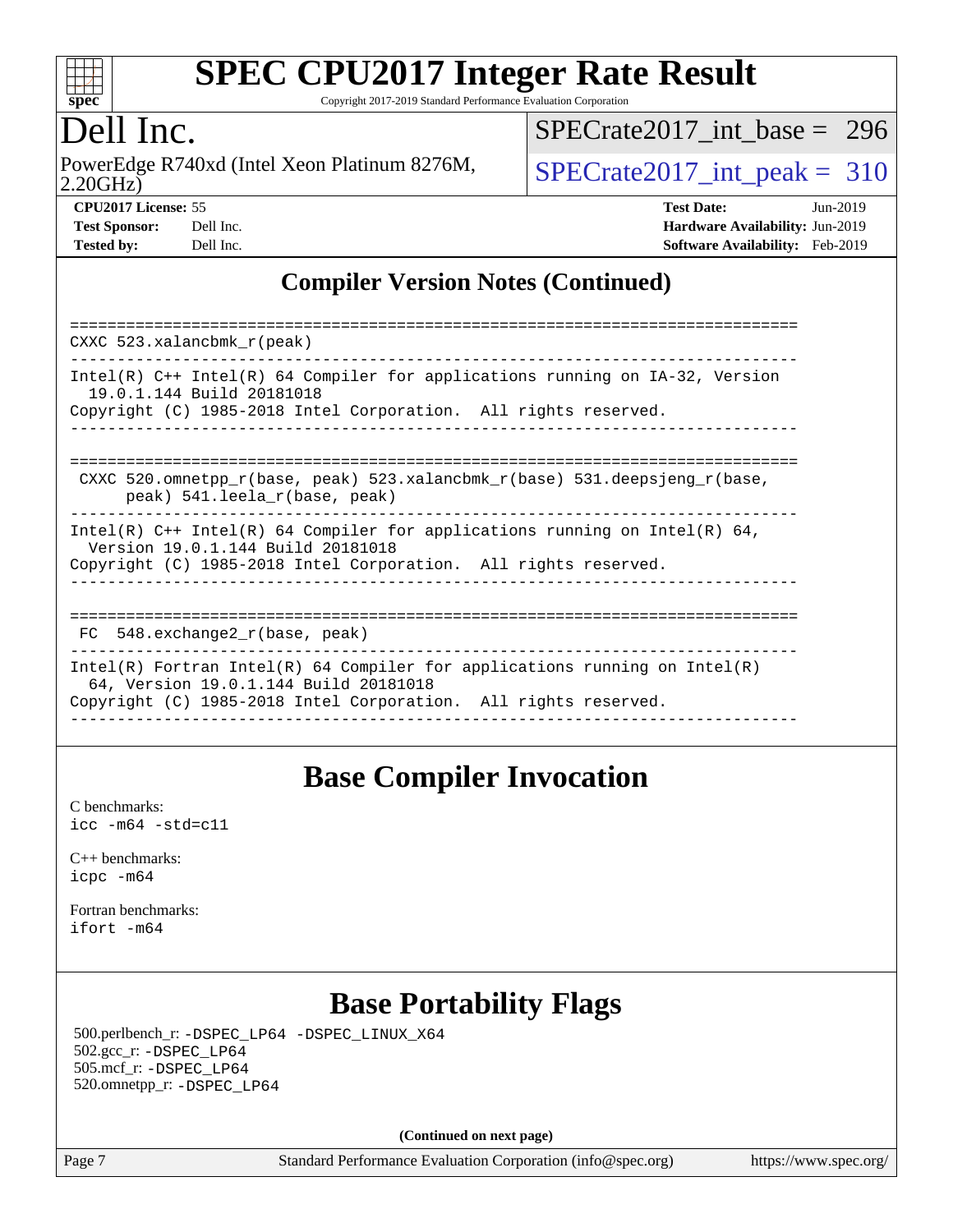

Copyright 2017-2019 Standard Performance Evaluation Corporation

### Dell Inc.

2.20GHz) PowerEdge R740xd (Intel Xeon Platinum 8276M,  $\vert$ [SPECrate2017\\_int\\_peak =](http://www.spec.org/auto/cpu2017/Docs/result-fields.html#SPECrate2017intpeak) 310

[SPECrate2017\\_int\\_base =](http://www.spec.org/auto/cpu2017/Docs/result-fields.html#SPECrate2017intbase) 296

| <b>Test Sponsor:</b> | Dell Inc. |
|----------------------|-----------|
| <b>Tested by:</b>    | Dell Inc. |

**[CPU2017 License:](http://www.spec.org/auto/cpu2017/Docs/result-fields.html#CPU2017License)** 55 **[Test Date:](http://www.spec.org/auto/cpu2017/Docs/result-fields.html#TestDate)** Jun-2019 **[Hardware Availability:](http://www.spec.org/auto/cpu2017/Docs/result-fields.html#HardwareAvailability)** Jun-2019 **[Software Availability:](http://www.spec.org/auto/cpu2017/Docs/result-fields.html#SoftwareAvailability)** Feb-2019

### **[Compiler Version Notes \(Continued\)](http://www.spec.org/auto/cpu2017/Docs/result-fields.html#CompilerVersionNotes)**

| CXXC $523.$ xalancbmk $r(\text{peak})$                                                                                                                                                 |
|----------------------------------------------------------------------------------------------------------------------------------------------------------------------------------------|
| Intel(R) $C++$ Intel(R) 64 Compiler for applications running on $IA-32$ , Version<br>19.0.1.144 Build 20181018<br>Copyright (C) 1985-2018 Intel Corporation. All rights reserved.      |
| CXXC 520.omnetpp $r(base, peak)$ 523.xalancbmk $r(base)$ 531.deepsjeng $r(base)$ ,<br>peak) 541.leela r(base, peak)                                                                    |
| Intel(R) $C++$ Intel(R) 64 Compiler for applications running on Intel(R) 64,<br>Version 19.0.1.144 Build 20181018<br>Copyright (C) 1985-2018 Intel Corporation. All rights reserved.   |
| $FC$ 548. exchange2 $r(base, peak)$                                                                                                                                                    |
| Intel(R) Fortran Intel(R) 64 Compiler for applications running on Intel(R)<br>64, Version 19.0.1.144 Build 20181018<br>Copyright (C) 1985-2018 Intel Corporation. All rights reserved. |

### **[Base Compiler Invocation](http://www.spec.org/auto/cpu2017/Docs/result-fields.html#BaseCompilerInvocation)**

[C benchmarks](http://www.spec.org/auto/cpu2017/Docs/result-fields.html#Cbenchmarks): [icc -m64 -std=c11](http://www.spec.org/cpu2017/results/res2019q3/cpu2017-20190624-15458.flags.html#user_CCbase_intel_icc_64bit_c11_33ee0cdaae7deeeab2a9725423ba97205ce30f63b9926c2519791662299b76a0318f32ddfffdc46587804de3178b4f9328c46fa7c2b0cd779d7a61945c91cd35)

[C++ benchmarks:](http://www.spec.org/auto/cpu2017/Docs/result-fields.html#CXXbenchmarks) [icpc -m64](http://www.spec.org/cpu2017/results/res2019q3/cpu2017-20190624-15458.flags.html#user_CXXbase_intel_icpc_64bit_4ecb2543ae3f1412ef961e0650ca070fec7b7afdcd6ed48761b84423119d1bf6bdf5cad15b44d48e7256388bc77273b966e5eb805aefd121eb22e9299b2ec9d9)

[Fortran benchmarks](http://www.spec.org/auto/cpu2017/Docs/result-fields.html#Fortranbenchmarks): [ifort -m64](http://www.spec.org/cpu2017/results/res2019q3/cpu2017-20190624-15458.flags.html#user_FCbase_intel_ifort_64bit_24f2bb282fbaeffd6157abe4f878425411749daecae9a33200eee2bee2fe76f3b89351d69a8130dd5949958ce389cf37ff59a95e7a40d588e8d3a57e0c3fd751)

## **[Base Portability Flags](http://www.spec.org/auto/cpu2017/Docs/result-fields.html#BasePortabilityFlags)**

 500.perlbench\_r: [-DSPEC\\_LP64](http://www.spec.org/cpu2017/results/res2019q3/cpu2017-20190624-15458.flags.html#b500.perlbench_r_basePORTABILITY_DSPEC_LP64) [-DSPEC\\_LINUX\\_X64](http://www.spec.org/cpu2017/results/res2019q3/cpu2017-20190624-15458.flags.html#b500.perlbench_r_baseCPORTABILITY_DSPEC_LINUX_X64) 502.gcc\_r: [-DSPEC\\_LP64](http://www.spec.org/cpu2017/results/res2019q3/cpu2017-20190624-15458.flags.html#suite_basePORTABILITY502_gcc_r_DSPEC_LP64) 505.mcf\_r: [-DSPEC\\_LP64](http://www.spec.org/cpu2017/results/res2019q3/cpu2017-20190624-15458.flags.html#suite_basePORTABILITY505_mcf_r_DSPEC_LP64) 520.omnetpp\_r: [-DSPEC\\_LP64](http://www.spec.org/cpu2017/results/res2019q3/cpu2017-20190624-15458.flags.html#suite_basePORTABILITY520_omnetpp_r_DSPEC_LP64)

**(Continued on next page)**

Page 7 Standard Performance Evaluation Corporation [\(info@spec.org\)](mailto:info@spec.org) <https://www.spec.org/>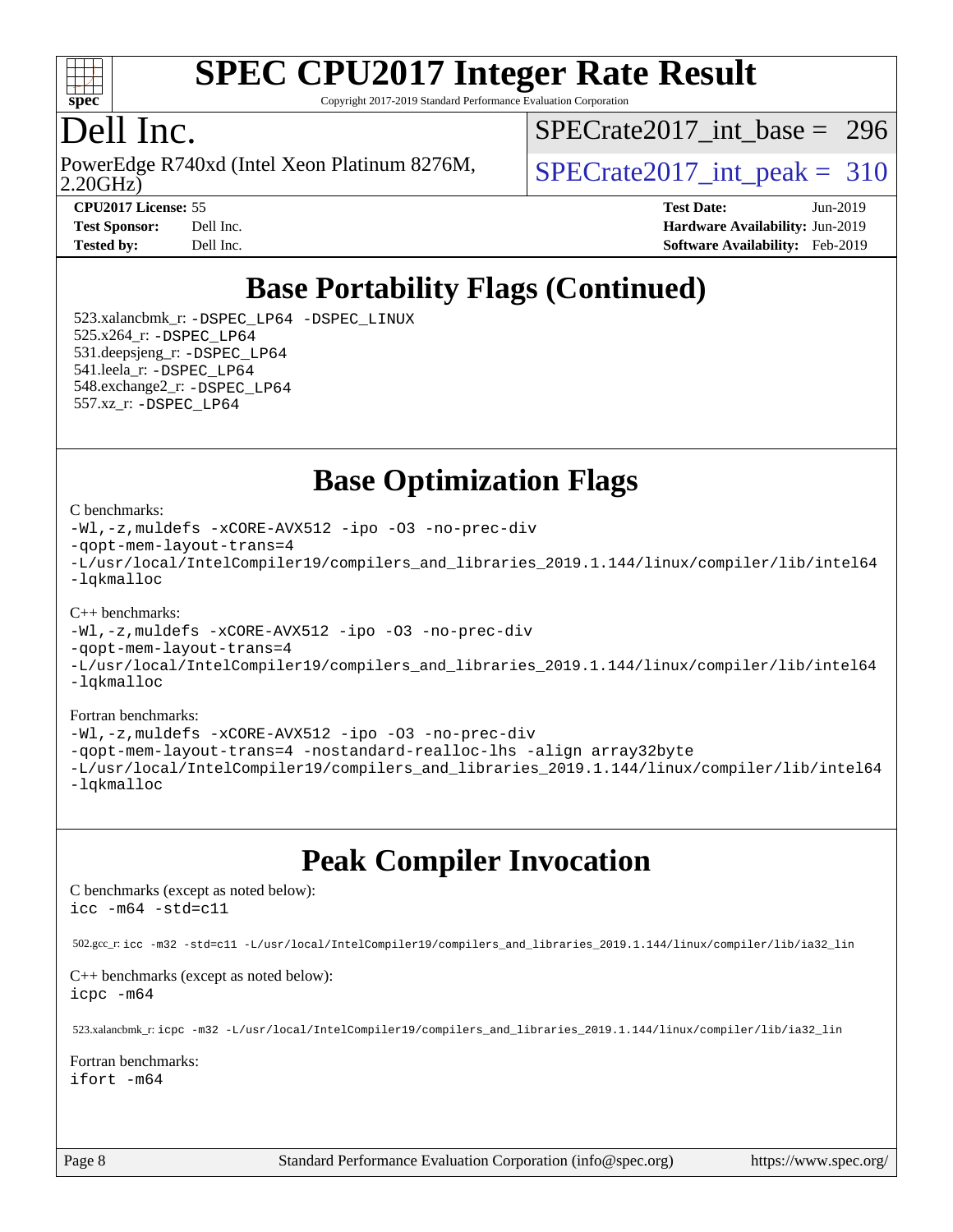

Copyright 2017-2019 Standard Performance Evaluation Corporation

### Dell Inc.

2.20GHz) PowerEdge R740xd (Intel Xeon Platinum 8276M,  $SPECrate2017\_int\_peak = 310$ 

[SPECrate2017\\_int\\_base =](http://www.spec.org/auto/cpu2017/Docs/result-fields.html#SPECrate2017intbase) 296

**[CPU2017 License:](http://www.spec.org/auto/cpu2017/Docs/result-fields.html#CPU2017License)** 55 **[Test Date:](http://www.spec.org/auto/cpu2017/Docs/result-fields.html#TestDate)** Jun-2019 **[Test Sponsor:](http://www.spec.org/auto/cpu2017/Docs/result-fields.html#TestSponsor)** Dell Inc. **[Hardware Availability:](http://www.spec.org/auto/cpu2017/Docs/result-fields.html#HardwareAvailability)** Jun-2019 **[Tested by:](http://www.spec.org/auto/cpu2017/Docs/result-fields.html#Testedby)** Dell Inc. **[Software Availability:](http://www.spec.org/auto/cpu2017/Docs/result-fields.html#SoftwareAvailability)** Feb-2019

## **[Base Portability Flags \(Continued\)](http://www.spec.org/auto/cpu2017/Docs/result-fields.html#BasePortabilityFlags)**

 523.xalancbmk\_r: [-DSPEC\\_LP64](http://www.spec.org/cpu2017/results/res2019q3/cpu2017-20190624-15458.flags.html#suite_basePORTABILITY523_xalancbmk_r_DSPEC_LP64) [-DSPEC\\_LINUX](http://www.spec.org/cpu2017/results/res2019q3/cpu2017-20190624-15458.flags.html#b523.xalancbmk_r_baseCXXPORTABILITY_DSPEC_LINUX) 525.x264\_r: [-DSPEC\\_LP64](http://www.spec.org/cpu2017/results/res2019q3/cpu2017-20190624-15458.flags.html#suite_basePORTABILITY525_x264_r_DSPEC_LP64) 531.deepsjeng\_r: [-DSPEC\\_LP64](http://www.spec.org/cpu2017/results/res2019q3/cpu2017-20190624-15458.flags.html#suite_basePORTABILITY531_deepsjeng_r_DSPEC_LP64) 541.leela\_r: [-DSPEC\\_LP64](http://www.spec.org/cpu2017/results/res2019q3/cpu2017-20190624-15458.flags.html#suite_basePORTABILITY541_leela_r_DSPEC_LP64) 548.exchange2\_r: [-DSPEC\\_LP64](http://www.spec.org/cpu2017/results/res2019q3/cpu2017-20190624-15458.flags.html#suite_basePORTABILITY548_exchange2_r_DSPEC_LP64) 557.xz\_r: [-DSPEC\\_LP64](http://www.spec.org/cpu2017/results/res2019q3/cpu2017-20190624-15458.flags.html#suite_basePORTABILITY557_xz_r_DSPEC_LP64)

**[Base Optimization Flags](http://www.spec.org/auto/cpu2017/Docs/result-fields.html#BaseOptimizationFlags)**

#### [C benchmarks](http://www.spec.org/auto/cpu2017/Docs/result-fields.html#Cbenchmarks):

```
-Wl,-z,muldefs -xCORE-AVX512 -ipo -O3 -no-prec-div
-qopt-mem-layout-trans=4
-L/usr/local/IntelCompiler19/compilers_and_libraries_2019.1.144/linux/compiler/lib/intel64
-lqkmalloc
```
#### [C++ benchmarks](http://www.spec.org/auto/cpu2017/Docs/result-fields.html#CXXbenchmarks):

```
-Wl,-z,muldefs -xCORE-AVX512 -ipo -O3 -no-prec-div
-qopt-mem-layout-trans=4
-L/usr/local/IntelCompiler19/compilers_and_libraries_2019.1.144/linux/compiler/lib/intel64
-lqkmalloc
```
#### [Fortran benchmarks](http://www.spec.org/auto/cpu2017/Docs/result-fields.html#Fortranbenchmarks):

```
-Wl,-z,muldefs -xCORE-AVX512 -ipo -O3 -no-prec-div
-qopt-mem-layout-trans=4 -nostandard-realloc-lhs -align array32byte
-L/usr/local/IntelCompiler19/compilers_and_libraries_2019.1.144/linux/compiler/lib/intel64
-lqkmalloc
```
### **[Peak Compiler Invocation](http://www.spec.org/auto/cpu2017/Docs/result-fields.html#PeakCompilerInvocation)**

[C benchmarks \(except as noted below\)](http://www.spec.org/auto/cpu2017/Docs/result-fields.html#Cbenchmarksexceptasnotedbelow): [icc -m64 -std=c11](http://www.spec.org/cpu2017/results/res2019q3/cpu2017-20190624-15458.flags.html#user_CCpeak_intel_icc_64bit_c11_33ee0cdaae7deeeab2a9725423ba97205ce30f63b9926c2519791662299b76a0318f32ddfffdc46587804de3178b4f9328c46fa7c2b0cd779d7a61945c91cd35)

502.gcc\_r: [icc -m32 -std=c11 -L/usr/local/IntelCompiler19/compilers\\_and\\_libraries\\_2019.1.144/linux/compiler/lib/ia32\\_lin](http://www.spec.org/cpu2017/results/res2019q3/cpu2017-20190624-15458.flags.html#user_peakCCLD502_gcc_r_intel_icc_40453ff6bf9521e1d4c2d3e2fb99253a88fa516366d57fe908127cec2d2803e1a519020f7199618d366f5331d17d60a40bdca38a56a807895183dcecb671b0e5)

[C++ benchmarks \(except as noted below\)](http://www.spec.org/auto/cpu2017/Docs/result-fields.html#CXXbenchmarksexceptasnotedbelow):

[icpc -m64](http://www.spec.org/cpu2017/results/res2019q3/cpu2017-20190624-15458.flags.html#user_CXXpeak_intel_icpc_64bit_4ecb2543ae3f1412ef961e0650ca070fec7b7afdcd6ed48761b84423119d1bf6bdf5cad15b44d48e7256388bc77273b966e5eb805aefd121eb22e9299b2ec9d9)

523.xalancbmk\_r: [icpc -m32 -L/usr/local/IntelCompiler19/compilers\\_and\\_libraries\\_2019.1.144/linux/compiler/lib/ia32\\_lin](http://www.spec.org/cpu2017/results/res2019q3/cpu2017-20190624-15458.flags.html#user_peakCXXLD523_xalancbmk_r_intel_icpc_da1545662a59c569b62a27824af614167f9a0289efc0155d279b219af3bd2ccb3c10a77eb36bcb264d681e48d9166bbcec9d21ef2c85e5a63a687a8887ddded7)

#### [Fortran benchmarks](http://www.spec.org/auto/cpu2017/Docs/result-fields.html#Fortranbenchmarks):

[ifort -m64](http://www.spec.org/cpu2017/results/res2019q3/cpu2017-20190624-15458.flags.html#user_FCpeak_intel_ifort_64bit_24f2bb282fbaeffd6157abe4f878425411749daecae9a33200eee2bee2fe76f3b89351d69a8130dd5949958ce389cf37ff59a95e7a40d588e8d3a57e0c3fd751)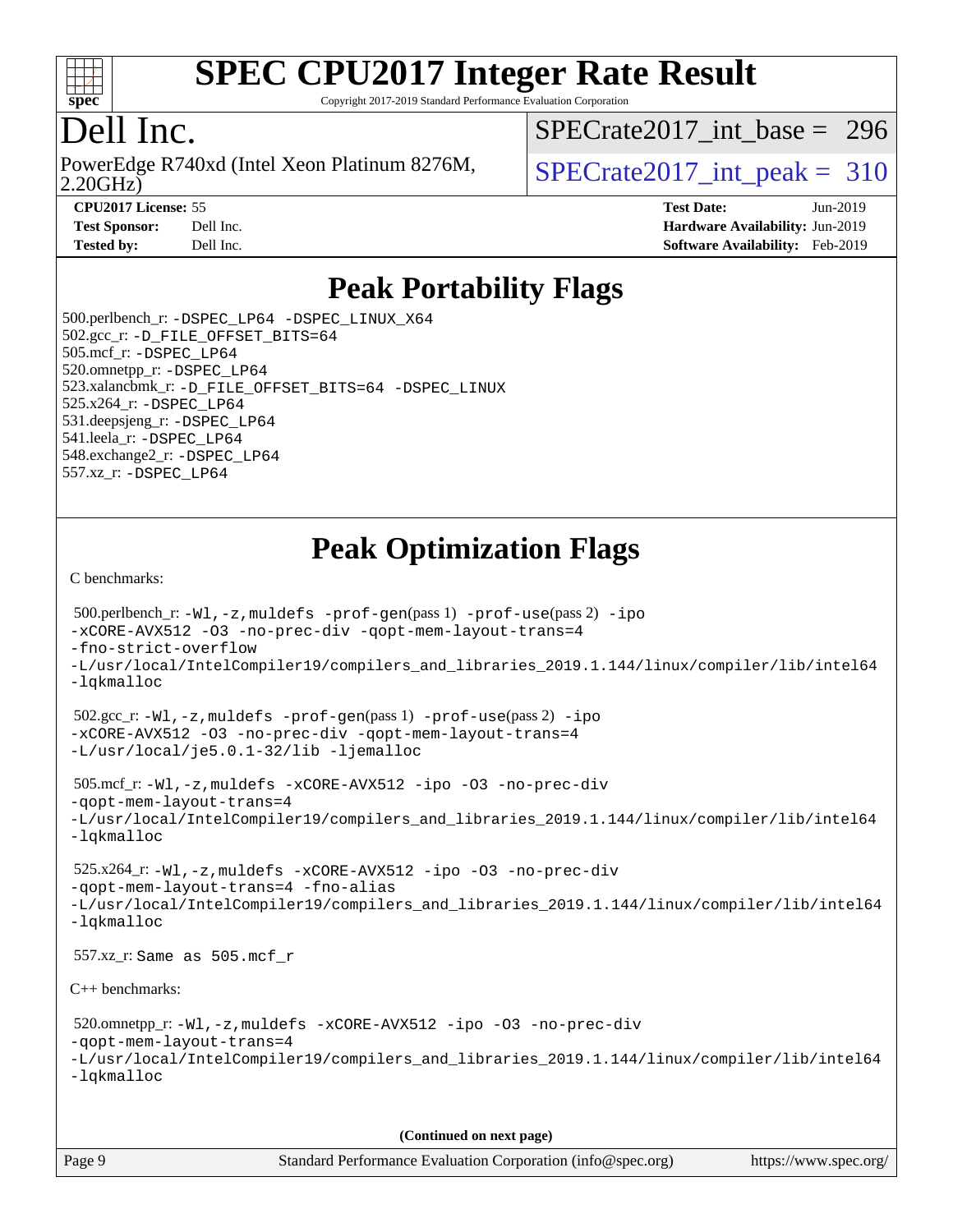

Copyright 2017-2019 Standard Performance Evaluation Corporation

### Dell Inc.

2.20GHz) PowerEdge R740xd (Intel Xeon Platinum 8276M,  $SPECrate2017\_int\_peak = 310$ 

[SPECrate2017\\_int\\_base =](http://www.spec.org/auto/cpu2017/Docs/result-fields.html#SPECrate2017intbase) 296

**[CPU2017 License:](http://www.spec.org/auto/cpu2017/Docs/result-fields.html#CPU2017License)** 55 **[Test Date:](http://www.spec.org/auto/cpu2017/Docs/result-fields.html#TestDate)** Jun-2019

**[Test Sponsor:](http://www.spec.org/auto/cpu2017/Docs/result-fields.html#TestSponsor)** Dell Inc. **[Hardware Availability:](http://www.spec.org/auto/cpu2017/Docs/result-fields.html#HardwareAvailability)** Jun-2019 **[Tested by:](http://www.spec.org/auto/cpu2017/Docs/result-fields.html#Testedby)** Dell Inc. **[Software Availability:](http://www.spec.org/auto/cpu2017/Docs/result-fields.html#SoftwareAvailability)** Feb-2019

### **[Peak Portability Flags](http://www.spec.org/auto/cpu2017/Docs/result-fields.html#PeakPortabilityFlags)**

 500.perlbench\_r: [-DSPEC\\_LP64](http://www.spec.org/cpu2017/results/res2019q3/cpu2017-20190624-15458.flags.html#b500.perlbench_r_peakPORTABILITY_DSPEC_LP64) [-DSPEC\\_LINUX\\_X64](http://www.spec.org/cpu2017/results/res2019q3/cpu2017-20190624-15458.flags.html#b500.perlbench_r_peakCPORTABILITY_DSPEC_LINUX_X64) 502.gcc\_r: [-D\\_FILE\\_OFFSET\\_BITS=64](http://www.spec.org/cpu2017/results/res2019q3/cpu2017-20190624-15458.flags.html#user_peakPORTABILITY502_gcc_r_file_offset_bits_64_5ae949a99b284ddf4e95728d47cb0843d81b2eb0e18bdfe74bbf0f61d0b064f4bda2f10ea5eb90e1dcab0e84dbc592acfc5018bc955c18609f94ddb8d550002c) 505.mcf\_r: [-DSPEC\\_LP64](http://www.spec.org/cpu2017/results/res2019q3/cpu2017-20190624-15458.flags.html#suite_peakPORTABILITY505_mcf_r_DSPEC_LP64) 520.omnetpp\_r: [-DSPEC\\_LP64](http://www.spec.org/cpu2017/results/res2019q3/cpu2017-20190624-15458.flags.html#suite_peakPORTABILITY520_omnetpp_r_DSPEC_LP64) 523.xalancbmk\_r: [-D\\_FILE\\_OFFSET\\_BITS=64](http://www.spec.org/cpu2017/results/res2019q3/cpu2017-20190624-15458.flags.html#user_peakPORTABILITY523_xalancbmk_r_file_offset_bits_64_5ae949a99b284ddf4e95728d47cb0843d81b2eb0e18bdfe74bbf0f61d0b064f4bda2f10ea5eb90e1dcab0e84dbc592acfc5018bc955c18609f94ddb8d550002c) [-DSPEC\\_LINUX](http://www.spec.org/cpu2017/results/res2019q3/cpu2017-20190624-15458.flags.html#b523.xalancbmk_r_peakCXXPORTABILITY_DSPEC_LINUX) 525.x264\_r: [-DSPEC\\_LP64](http://www.spec.org/cpu2017/results/res2019q3/cpu2017-20190624-15458.flags.html#suite_peakPORTABILITY525_x264_r_DSPEC_LP64) 531.deepsjeng\_r: [-DSPEC\\_LP64](http://www.spec.org/cpu2017/results/res2019q3/cpu2017-20190624-15458.flags.html#suite_peakPORTABILITY531_deepsjeng_r_DSPEC_LP64) 541.leela\_r: [-DSPEC\\_LP64](http://www.spec.org/cpu2017/results/res2019q3/cpu2017-20190624-15458.flags.html#suite_peakPORTABILITY541_leela_r_DSPEC_LP64) 548.exchange2\_r: [-DSPEC\\_LP64](http://www.spec.org/cpu2017/results/res2019q3/cpu2017-20190624-15458.flags.html#suite_peakPORTABILITY548_exchange2_r_DSPEC_LP64) 557.xz\_r: [-DSPEC\\_LP64](http://www.spec.org/cpu2017/results/res2019q3/cpu2017-20190624-15458.flags.html#suite_peakPORTABILITY557_xz_r_DSPEC_LP64)

## **[Peak Optimization Flags](http://www.spec.org/auto/cpu2017/Docs/result-fields.html#PeakOptimizationFlags)**

[C benchmarks](http://www.spec.org/auto/cpu2017/Docs/result-fields.html#Cbenchmarks):

```
 500.perlbench_r: -Wl,-z,muldefs -prof-gen(pass 1) -prof-use(pass 2) -ipo
-xCORE-AVX512 -O3 -no-prec-div -qopt-mem-layout-trans=4
-fno-strict-overflow
-L/usr/local/IntelCompiler19/compilers_and_libraries_2019.1.144/linux/compiler/lib/intel64
-lqkmalloc
 502.gcc_r: -Wl,-z,muldefs -prof-gen(pass 1) -prof-use(pass 2) -ipo
-xCORE-AVX512 -O3 -no-prec-div -qopt-mem-layout-trans=4
-L/usr/local/je5.0.1-32/lib -ljemalloc
 505.mcf_r: -Wl,-z,muldefs -xCORE-AVX512 -ipo -O3 -no-prec-div
-qopt-mem-layout-trans=4
-L/usr/local/IntelCompiler19/compilers_and_libraries_2019.1.144/linux/compiler/lib/intel64
-lqkmalloc
 525.x264_r: -Wl,-z,muldefs -xCORE-AVX512 -ipo -O3 -no-prec-div
-qopt-mem-layout-trans=4 -fno-alias
-L/usr/local/IntelCompiler19/compilers_and_libraries_2019.1.144/linux/compiler/lib/intel64
-lqkmalloc
 557.xz_r: Same as 505.mcf_r
C++ benchmarks: 
 520.omnetpp_r: -Wl,-z,muldefs -xCORE-AVX512 -ipo -O3 -no-prec-div
-qopt-mem-layout-trans=4
-L/usr/local/IntelCompiler19/compilers_and_libraries_2019.1.144/linux/compiler/lib/intel64
-lqkmalloc
                                      (Continued on next page)
```